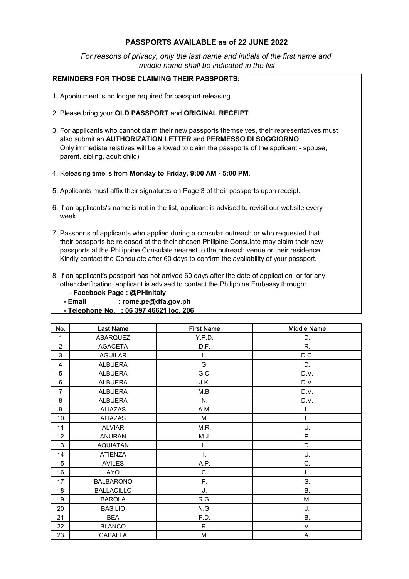## PASSPORTS AVAILABLE as of 22 JUNE 2022

 *middle name shall be indicated in the list For reasons of privacy, only the last name and initials of the first name and*

## REMINDERS FOR THOSE CLAIMING THEIR PASSPORTS:

- 1. Appointment is no longer required for passport releasing.
- 2. Please bring your OLD PASSPORT and ORIGINAL RECEIPT.
- 3. For applicants who cannot claim their new passports themselves, their representatives must also submit an AUTHORIZATION LETTER and PERMESSO DI SOGGIORNO. Only immediate relatives will be allowed to claim the passports of the applicant - spouse, parent, sibling, adult child)
- 4. Releasing time is from Monday to Friday, 9:00 AM 5:00 PM.
- 5. Applicants must affix their signatures on Page 3 of their passports upon receipt.
- 6. If an applicants's name is not in the list, applicant is advised to revisit our website every week.
- 7. Passports of applicants who applied during a consular outreach or who requested that their passports be released at the their chosen Philipine Consulate may claim their new passports at the Philippine Consulate nearest to the outreach venue or their residence. Kindly contact the Consulate after 60 days to confirm the availability of your passport.
- 8. If an applicant's passport has not arrived 60 days after the date of application or for any other clarification, applicant is advised to contact the Philippine Embassy through:
	- Facebook Page : @PHinItaly
	- Email : rome.pe@dfa.gov.ph
	- Telephone No. : 06 397 46621 loc. 206

| No.              | <b>Last Name</b>  | <b>First Name</b> | <b>Middle Name</b> |
|------------------|-------------------|-------------------|--------------------|
| 1                | <b>ABARQUEZ</b>   | Y.P.D.            | D.                 |
| $\overline{2}$   | <b>AGACETA</b>    | D.F.              | R.                 |
| 3                | <b>AGUILAR</b>    | L.                | D.C.               |
| 4                | <b>ALBUERA</b>    | G.                | D.                 |
| 5                | <b>ALBUERA</b>    | G.C.              | D.V.               |
| 6                | <b>ALBUERA</b>    | J.K.              | D.V.               |
| $\overline{7}$   | <b>ALBUERA</b>    | M.B.              | D.V.               |
| 8                | <b>ALBUERA</b>    | N.                | D.V.               |
| $\boldsymbol{9}$ | <b>ALIAZAS</b>    | A.M.              | L.                 |
| 10               | <b>ALIAZAS</b>    | М.                | L.                 |
| 11               | <b>ALVIAR</b>     | M.R.              | U.                 |
| 12               | <b>ANURAN</b>     | M.J.              | Ρ.                 |
| 13               | <b>AQUIATAN</b>   | L.                | D.                 |
| 14               | <b>ATIENZA</b>    | I.                | U.                 |
| 15               | <b>AVILES</b>     | A.P.              | C.                 |
| 16               | AYO               | C.                | L.                 |
| 17               | <b>BALBARONO</b>  | Ρ.                | S.                 |
| 18               | <b>BALLACILLO</b> | J.                | <b>B.</b>          |
| 19               | <b>BAROLA</b>     | R.G.              | М.                 |
| 20               | <b>BASILIO</b>    | N.G.              | J.                 |
| 21               | <b>BEA</b>        | F.D.              | <b>B.</b>          |
| 22               | <b>BLANCO</b>     | R.                | V.                 |
| 23               | CABALLA           | M.                | А.                 |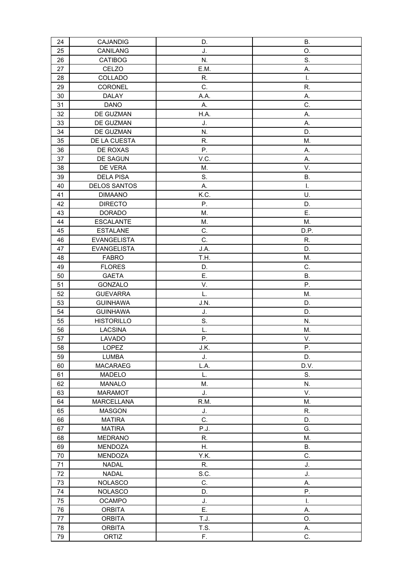| 24 | CAJANDIG            | D.   | В.           |
|----|---------------------|------|--------------|
| 25 | CANILANG            | J.   | O.           |
| 26 | <b>CATIBOG</b>      | N.   | S.           |
| 27 | CELZO               | E.M. | Α.           |
| 28 | COLLADO             | R.   | Ι.           |
| 29 | CORONEL             | C.   | R.           |
| 30 | <b>DALAY</b>        | A.A. | А.           |
| 31 | <b>DANO</b>         | Α.   | C.           |
| 32 | DE GUZMAN           | H.A. | А.           |
| 33 | DE GUZMAN           | J.   | А.           |
| 34 | DE GUZMAN           | N.   | D.           |
| 35 | DE LA CUESTA        | R.   | M.           |
| 36 | DE ROXAS            | Ρ.   | А.           |
|    |                     | V.C. |              |
| 37 | DE SAGUN            |      | А.           |
| 38 | DE VERA             | М.   | V.           |
| 39 | <b>DELA PISA</b>    | S.   | <b>B.</b>    |
| 40 | <b>DELOS SANTOS</b> | А.   | Ι.           |
| 41 | <b>DIMAANO</b>      | K.C. | U.           |
| 42 | <b>DIRECTO</b>      | Ρ.   | D.           |
| 43 | <b>DORADO</b>       | M.   | Ε.           |
| 44 | <b>ESCALANTE</b>    | M.   | M.           |
| 45 | <b>ESTALANE</b>     | C.   | D.P.         |
| 46 | <b>EVANGELISTA</b>  | C.   | R.           |
| 47 | EVANGELISTA         | J.A. | D.           |
| 48 | <b>FABRO</b>        | T.H. | M.           |
| 49 | <b>FLORES</b>       | D.   | C.           |
| 50 | <b>GAETA</b>        | Ε.   | <b>B.</b>    |
| 51 | GONZALO             | V.   | Ρ.           |
| 52 | <b>GUEVARRA</b>     | L.   | M.           |
| 53 | <b>GUINHAWA</b>     | J.N. | D.           |
| 54 | <b>GUINHAWA</b>     | J.   | D.           |
| 55 | <b>HISTORILLO</b>   | S.   | N.           |
| 56 | <b>LACSINA</b>      | L.   | М.           |
| 57 | <b>LAVADO</b>       | Ρ.   | V.           |
| 58 | LOPEZ               | J.K. | Ρ.           |
| 59 | <b>LUMBA</b>        | J.   | D.           |
| 60 | <b>MACARAEG</b>     | L.A. | D.V.         |
| 61 | MADELO              | L.   | S.           |
| 62 | <b>MANALO</b>       | Μ.   | N.           |
| 63 | <b>MARAMOT</b>      | J.   | V.           |
| 64 | <b>MARCELLANA</b>   | R.M. | M.           |
| 65 | <b>MASGON</b>       | J.   | R.           |
| 66 | <b>MATIRA</b>       | C.   | D.           |
| 67 | <b>MATIRA</b>       | P.J. | G.           |
| 68 | <b>MEDRANO</b>      | R.   | M.           |
| 69 | <b>MENDOZA</b>      | Η.   | <b>B.</b>    |
| 70 | MENDOZA             | Y.K. | C.           |
| 71 | <b>NADAL</b>        | R.   | J.           |
| 72 | <b>NADAL</b>        | S.C. | J.           |
| 73 | <b>NOLASCO</b>      | C.   | А.           |
| 74 | <b>NOLASCO</b>      | D.   | Ρ.           |
| 75 | <b>OCAMPO</b>       | J.   | $\mathsf{L}$ |
| 76 | <b>ORBITA</b>       | Ε.   |              |
|    |                     |      | А.           |
| 77 | <b>ORBITA</b>       | T.J. | О.           |
| 78 | <b>ORBITA</b>       | T.S. | А.           |
| 79 | ORTIZ               | F.   | C.           |